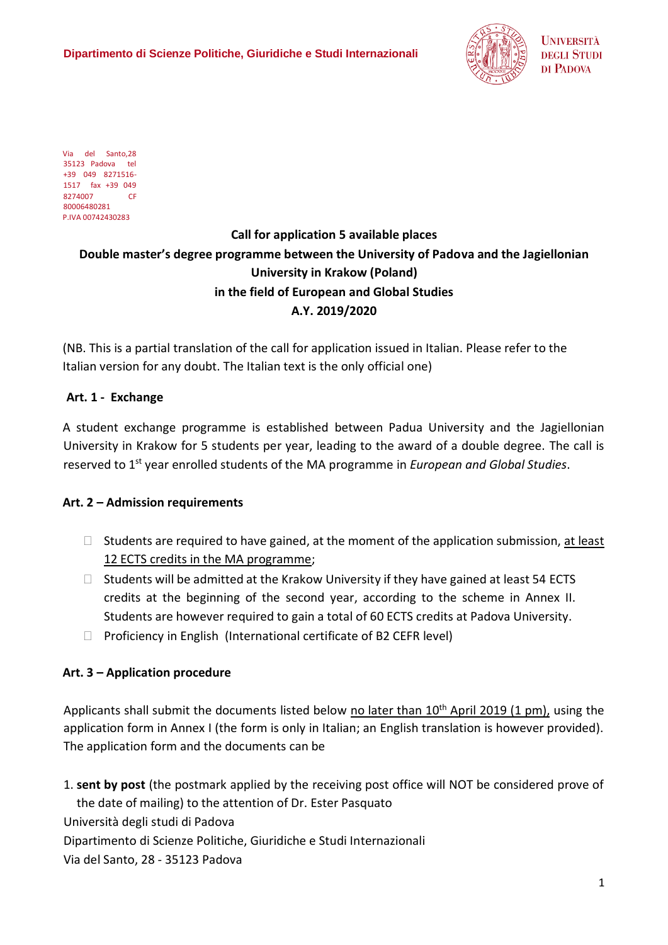**Dipartimento di Scienze Politiche, Giuridiche e Studi Internazionali** 



**UNIVERSITÀ DEGLI STUDI** DI PADOVA

Via del Santo,28 35123 Padova tel +39 049 8271516- 1517 fax +39 049 8274007 CF 80006480281 P.IVA 00742430283

# **Call for application 5 available places Double master's degree programme between the University of Padova and the Jagiellonian University in Krakow (Poland) in the field of European and Global Studies A.Y. 2019/2020**

(NB. This is a partial translation of the call for application issued in Italian. Please refer to the Italian version for any doubt. The Italian text is the only official one)

## **Art. 1 - Exchange**

A student exchange programme is established between Padua University and the Jagiellonian University in Krakow for 5 students per year, leading to the award of a double degree. The call is reserved to 1st year enrolled students of the MA programme in *European and Global Studies*.

# **Art. 2 – Admission requirements**

- $\Box$  Students are required to have gained, at the moment of the application submission, at least 12 ECTS credits in the MA programme;
- $\Box$  Students will be admitted at the Krakow University if they have gained at least 54 ECTS credits at the beginning of the second year, according to the scheme in Annex II. Students are however required to gain a total of 60 ECTS credits at Padova University.
- $\Box$  Proficiency in English (International certificate of B2 CEFR level)

# **Art. 3 – Application procedure**

Applicants shall submit the documents listed below no later than  $10<sup>th</sup>$  April 2019 (1 pm), using the application form in Annex I (the form is only in Italian; an English translation is however provided). The application form and the documents can be

1. **sent by post** (the postmark applied by the receiving post office will NOT be considered prove of the date of mailing) to the attention of Dr. Ester Pasquato Università degli studi di Padova

Dipartimento di Scienze Politiche, Giuridiche e Studi Internazionali

Via del Santo, 28 - 35123 Padova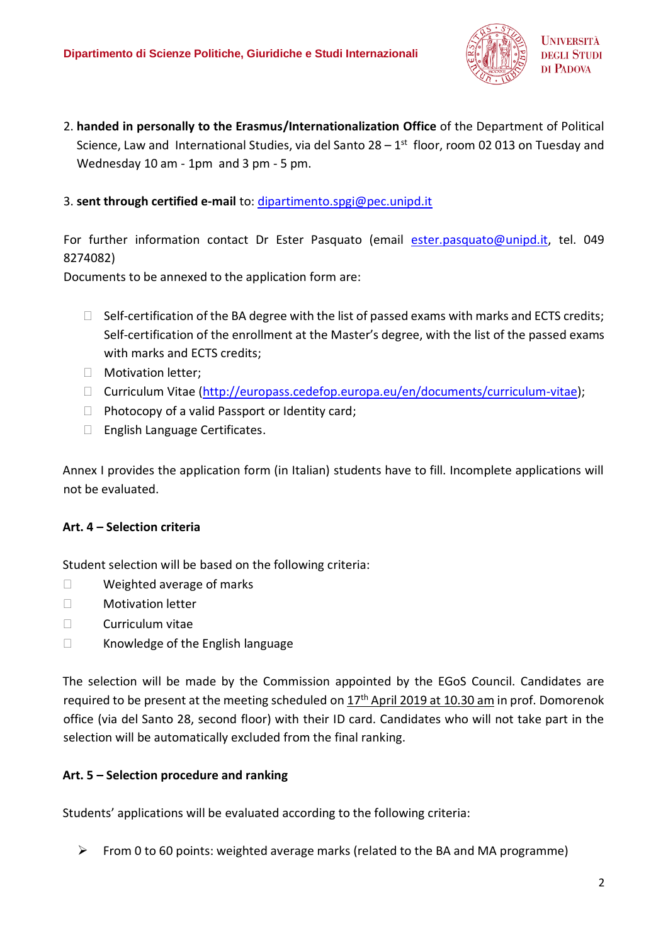

2. **handed in personally to the Erasmus/Internationalization Office** of the Department of Political Science, Law and International Studies, via del Santo 28 – 1<sup>st</sup> floor, room 02 013 on Tuesday and Wednesday 10 am - 1pm and 3 pm - 5 pm.

## 3. **sent through certified e-mail** to: [dipartimento.spgi@pec.unipd.it](mailto:dipartimento.spgi@pec.unipd.it)

For further information contact Dr Ester Pasquato (email [ester.pasquato@unipd.it,](mailto:ester.pasquato@unipd.it) tel. 049 8274082)

Documents to be annexed to the application form are:

- $\Box$  Self-certification of the BA degree with the list of passed exams with marks and ECTS credits; Self-certification of the enrollment at the Master's degree, with the list of the passed exams with marks and ECTS credits;
- **Motivation letter;**
- □ Curriculum Vitae [\(http://europass.cedefop.europa.eu/en/documents/curriculum-vitae\)](http://europass.cedefop.europa.eu/en/documents/curriculum-vitae);
- $\Box$  Photocopy of a valid Passport or Identity card;
- □ English Language Certificates.

Annex I provides the application form (in Italian) students have to fill. Incomplete applications will not be evaluated.

## **Art. 4 – Selection criteria**

Student selection will be based on the following criteria:

- □ Weighted average of marks
- □ Motivation letter
- $\Box$  Curriculum vitae
- □ Knowledge of the English language

The selection will be made by the Commission appointed by the EGoS Council. Candidates are required to be present at the meeting scheduled on  $17<sup>th</sup>$  April 2019 at 10.30 am in prof. Domorenok office (via del Santo 28, second floor) with their ID card. Candidates who will not take part in the selection will be automatically excluded from the final ranking.

## **Art. 5 – Selection procedure and ranking**

Students' applications will be evaluated according to the following criteria:

 $\triangleright$  From 0 to 60 points: weighted average marks (related to the BA and MA programme)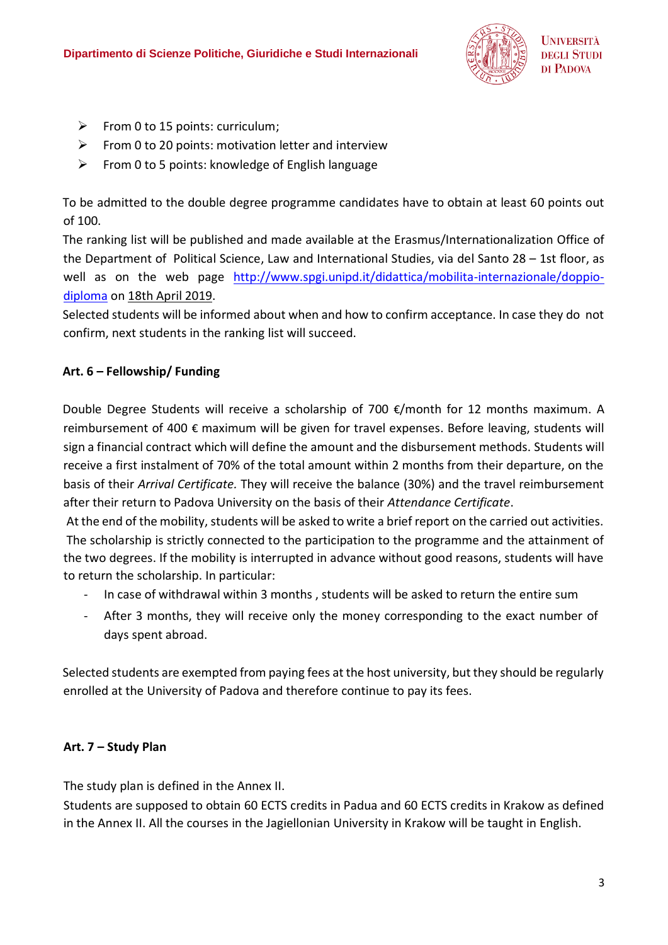

- $\triangleright$  From 0 to 15 points: curriculum;
- $\triangleright$  From 0 to 20 points: motivation letter and interview
- $\triangleright$  From 0 to 5 points: knowledge of English language

To be admitted to the double degree programme candidates have to obtain at least 60 points out of 100.

The ranking list will be published and made available at the Erasmus/Internationalization Office of the Department of Political Science, Law and International Studies, via del Santo 28 – 1st floor, as well as on the web page [http://www.spgi.unipd.it/didattica/mobilita-internazionale/doppio](http://www.spgi.unipd.it/didattica/mobilita-internazionale/doppio-diploma)[diploma](http://www.spgi.unipd.it/didattica/mobilita-internazionale/doppio-diploma) on 18th April 2019.

Selected students will be informed about when and how to confirm acceptance. In case they do not confirm, next students in the ranking list will succeed.

# **Art. 6 – Fellowship/ Funding**

Double Degree Students will receive a scholarship of 700  $\epsilon$ /month for 12 months maximum. A reimbursement of 400 € maximum will be given for travel expenses. Before leaving, students will sign a financial contract which will define the amount and the disbursement methods. Students will receive a first instalment of 70% of the total amount within 2 months from their departure, on the basis of their *Arrival Certificate.* They will receive the balance (30%) and the travel reimbursement after their return to Padova University on the basis of their *Attendance Certificate*.

At the end of the mobility, students will be asked to write a brief report on the carried out activities. The scholarship is strictly connected to the participation to the programme and the attainment of the two degrees. If the mobility is interrupted in advance without good reasons, students will have to return the scholarship. In particular:

- In case of withdrawal within 3 months, students will be asked to return the entire sum
- After 3 months, they will receive only the money corresponding to the exact number of days spent abroad.

Selected students are exempted from paying fees at the host university, but they should be regularly enrolled at the University of Padova and therefore continue to pay its fees.

## **Art. 7 – Study Plan**

The study plan is defined in the Annex II.

Students are supposed to obtain 60 ECTS credits in Padua and 60 ECTS credits in Krakow as defined in the Annex II. All the courses in the Jagiellonian University in Krakow will be taught in English.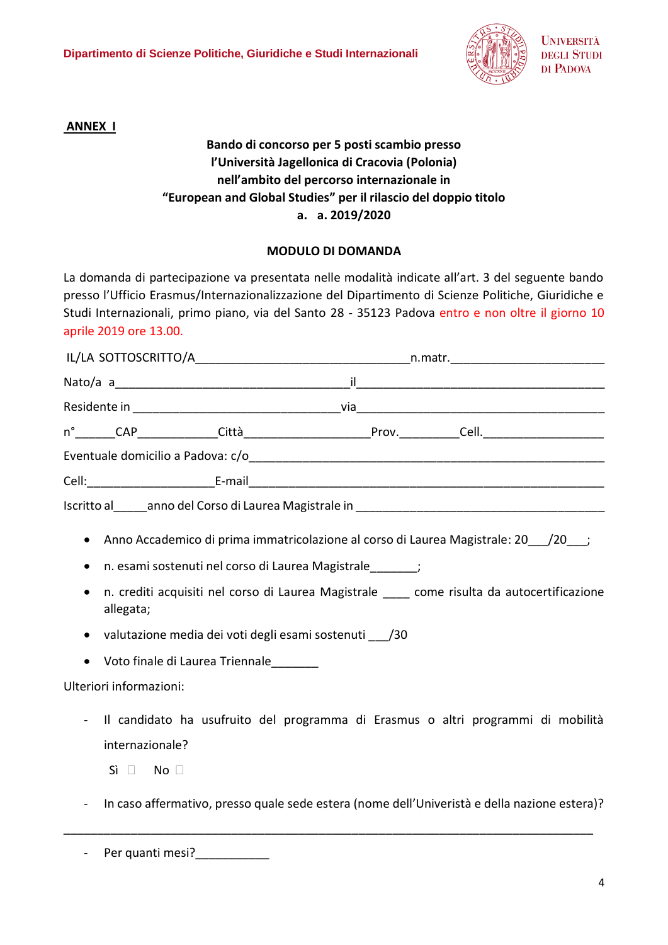

**ANNEX I**

# **Bando di concorso per 5 posti scambio presso l'Università Jagellonica di Cracovia (Polonia) nell'ambito del percorso internazionale in "European and Global Studies" per il rilascio del doppio titolo a. a. 2019/2020**

## **MODULO DI DOMANDA**

La domanda di partecipazione va presentata nelle modalità indicate all'art. 3 del seguente bando presso l'Ufficio Erasmus/Internazionalizzazione del Dipartimento di Scienze Politiche, Giuridiche e Studi Internazionali, primo piano, via del Santo 28 - 35123 Padova entro e non oltre il giorno 10 aprile 2019 ore 13.00.

| Anno Accademico di prima immatricolazione al corso di Laurea Magistrale: 20 ___ /20 ___;<br>$\bullet$<br>n. esami sostenuti nel corso di Laurea Magistrale ______;<br>$\bullet$<br>n. crediti acquisiti nel corso di Laurea Magistrale _____ come risulta da autocertificazione<br>$\bullet$<br>allegata;<br>valutazione media dei voti degli esami sostenuti __/30<br>$\bullet$<br>Voto finale di Laurea Triennale_______<br>$\bullet$<br>Ulteriori informazioni:<br>Il candidato ha usufruito del programma di Erasmus o altri programmi di mobilità<br>internazionale?<br>$Si \Box$ No $\Box$ |  |  |  |
|--------------------------------------------------------------------------------------------------------------------------------------------------------------------------------------------------------------------------------------------------------------------------------------------------------------------------------------------------------------------------------------------------------------------------------------------------------------------------------------------------------------------------------------------------------------------------------------------------|--|--|--|

- In caso affermativo, presso quale sede estera (nome dell'Univeristà e della nazione estera)?

\_\_\_\_\_\_\_\_\_\_\_\_\_\_\_\_\_\_\_\_\_\_\_\_\_\_\_\_\_\_\_\_\_\_\_\_\_\_\_\_\_\_\_\_\_\_\_\_\_\_\_\_\_\_\_\_\_\_\_\_\_\_\_\_\_\_\_\_\_\_\_\_\_\_\_\_\_\_\_

- Per quanti mesi?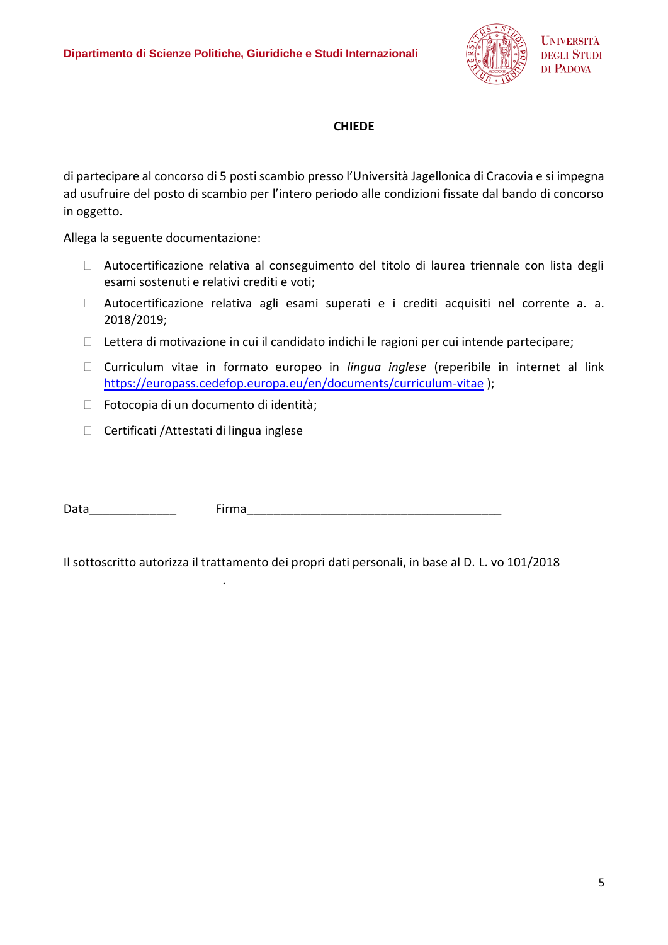

## **CHIEDE**

di partecipare al concorso di 5 posti scambio presso l'Università Jagellonica di Cracovia e si impegna ad usufruire del posto di scambio per l'intero periodo alle condizioni fissate dal bando di concorso in oggetto.

Allega la seguente documentazione:

- Autocertificazione relativa al conseguimento del titolo di laurea triennale con lista degli esami sostenuti e relativi crediti e voti;
- Autocertificazione relativa agli esami superati e i crediti acquisiti nel corrente a. a. 2018/2019;
- $\Box$  Lettera di motivazione in cui il candidato indichi le ragioni per cui intende partecipare;
- Curriculum vitae in formato europeo in *lingua inglese* (reperibile in internet al link <https://europass.cedefop.europa.eu/en/documents/curriculum-vitae> );
- Fotocopia di un documento di identità;

.

 $\Box$  Certificati /Attestati di lingua inglese

Data **Exercise Exercise Exercise Service Service Contract Contract Contract Contract Contract Contract Contract Contract Contract Contract Contract Contract Contract Contract Contract Contract Contract Contract Contract Co** 

Il sottoscritto autorizza il trattamento dei propri dati personali, in base al D. L. vo 101/2018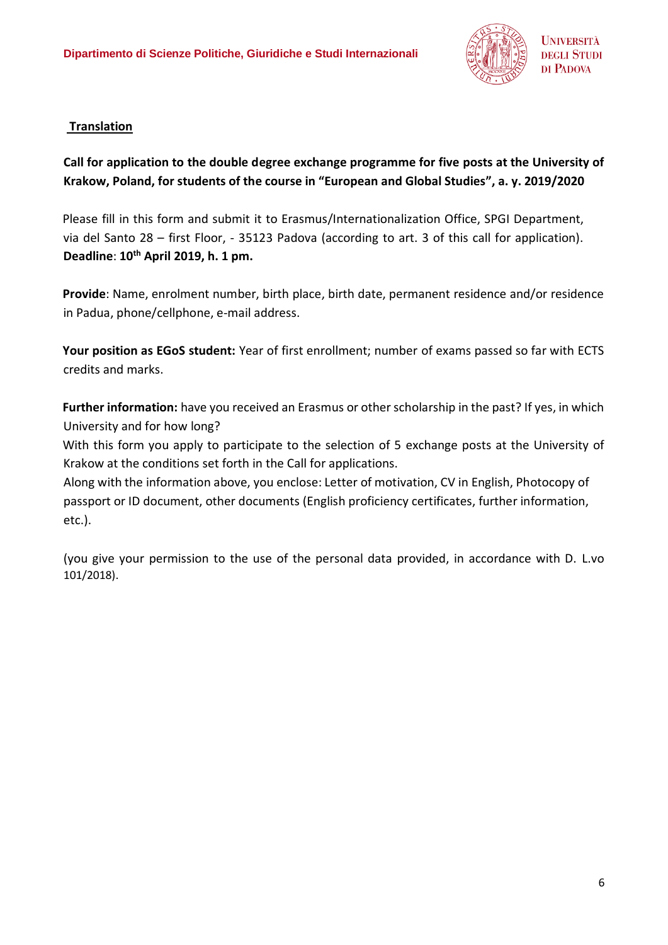

# **Translation**

# **Call for application to the double degree exchange programme for five posts at the University of Krakow, Poland, for students of the course in "European and Global Studies", a. y. 2019/2020**

Please fill in this form and submit it to Erasmus/Internationalization Office, SPGI Department, via del Santo 28 – first Floor, - 35123 Padova (according to art. 3 of this call for application). **Deadline**: **10th April 2019, h. 1 pm.**

**Provide**: Name, enrolment number, birth place, birth date, permanent residence and/or residence in Padua, phone/cellphone, e-mail address.

**Your position as EGoS student:** Year of first enrollment; number of exams passed so far with ECTS credits and marks.

**Further information:** have you received an Erasmus or other scholarship in the past? If yes, in which University and for how long?

With this form you apply to participate to the selection of 5 exchange posts at the University of Krakow at the conditions set forth in the Call for applications.

Along with the information above, you enclose: Letter of motivation, CV in English, Photocopy of passport or ID document, other documents (English proficiency certificates, further information, etc.).

(you give your permission to the use of the personal data provided, in accordance with D. L.vo 101/2018).